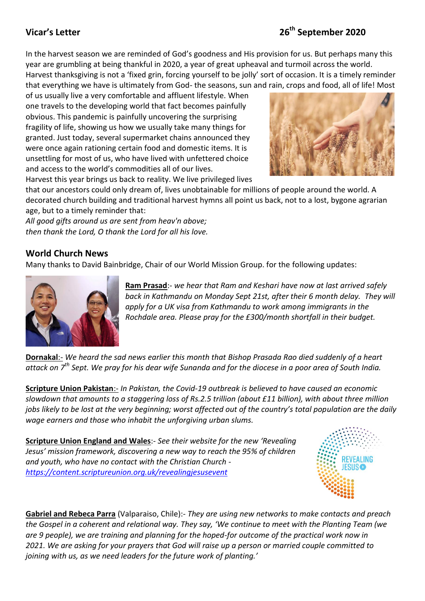## **Vicar's Letter**

In the harvest season we are reminded of God's goodness and His provision for us. But perhaps many this year are grumbling at being thankful in 2020, a year of great upheaval and turmoil across the world.

Harvest thanksgiving is not a 'fixed grin, forcing yourself to be jolly' sort of occasion. It is a timely reminder that everything we have is ultimately from God- the seasons, sun and rain, crops and food, all of life! Most

of us usually live a very comfortable and affluent lifestyle. When one travels to the developing world that fact becomes painfully obvious. This pandemic is painfully uncovering the surprising fragility of life, showing us how we usually take many things for granted. Just today, several supermarket chains announced they were once again rationing certain food and domestic items. It is unsettling for most of us, who have lived with unfettered choice and access to the world's commodities all of our lives. Harvest this year brings us back to reality. We live privileged lives



that our ancestors could only dream of, lives unobtainable for millions of people around the world. A decorated church building and traditional harvest hymns all point us back, not to a lost, bygone agrarian age, but to a timely reminder that:

*All good gifts around us are sent from heav'n above; then thank the Lord, O thank the Lord for all his love.*

## **World Church News**

Many thanks to David Bainbridge, Chair of our World Mission Group. for the following updates:



**Ram Prasad**:- *we hear that Ram and Keshari have now at last arrived safely back in Kathmandu on Monday Sept 21st, after their 6 month delay. They will apply for a UK visa from Kathmandu to work among immigrants in the Rochdale area. Please pray for the £300/month shortfall in their budget.*

**Dornakal**:- *We heard the sad news earlier this month that Bishop Prasada Rao died suddenly of a heart attack on 7th Sept. We pray for his dear wife Sunanda and for the diocese in a poor area of South India.*

**Scripture Union Pakistan**:- *In Pakistan, the Covid-19 outbreak is believed to have caused an economic slowdown that amounts to a staggering loss of Rs.2.5 trillion (about £11 billion), with about three million jobs likely to be lost at the very beginning; worst affected out of the country's total population are the daily wage earners and those who inhabit the unforgiving urban slums.*

**Scripture Union England and Wales**:- *See their website for the new 'Revealing Jesus' mission framework, discovering a new way to reach the 95% of children and youth, who have no contact with the Christian Church <https://content.scriptureunion.org.uk/revealingjesusevent>*



**Gabriel and Rebeca Parra** (Valparaiso, Chile):- *They are using new networks to make contacts and preach the Gospel in a coherent and relational way. They say, 'We continue to meet with the Planting Team (we are 9 people), we are training and planning for the hoped-for outcome of the practical work now in 2021. We are asking for your prayers that God will raise up a person or married couple committed to joining with us, as we need leaders for the future work of planting.'*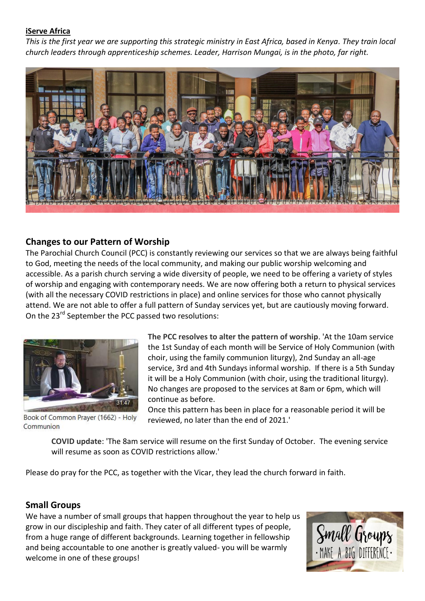#### **iServe Africa**

*This is the first year we are supporting this strategic ministry in East Africa, based in Kenya. They train local church leaders through apprenticeship schemes. Leader, Harrison Mungai, is in the photo, far right.*



### **Changes to our Pattern of Worship**

The Parochial Church Council (PCC) is constantly reviewing our services so that we are always being faithful to God, meeting the needs of the local community, and making our public worship welcoming and accessible. As a parish church serving a wide diversity of people, we need to be offering a variety of styles of worship and engaging with contemporary needs. We are now offering both a return to physical services (with all the necessary COVID restrictions in place) and online services for those who cannot physically attend. We are not able to offer a full pattern of Sunday services yet, but are cautiously moving forward. On the 23<sup>rd</sup> September the PCC passed two resolutions:



Book of Common Prayer (1662) - Holy Communion

**The PCC resolves to alter the pattern of worship**. 'At the 10am service the 1st Sunday of each month will be Service of Holy Communion (with choir, using the family communion liturgy), 2nd Sunday an all-age service, 3rd and 4th Sundays informal worship. If there is a 5th Sunday it will be a Holy Communion (with choir, using the traditional liturgy). No changes are proposed to the services at 8am or 6pm, which will continue as before.

Once this pattern has been in place for a reasonable period it will be reviewed, no later than the end of 2021.'

**COVID update**: 'The 8am service will resume on the first Sunday of October. The evening service will resume as soon as COVID restrictions allow.'

Please do pray for the PCC, as together with the Vicar, they lead the church forward in faith.

## **Small Groups**

We have a number of small groups that happen throughout the year to help us grow in our discipleship and faith. They cater of all different types of people, from a huge range of different backgrounds. Learning together in fellowship and being accountable to one another is greatly valued- you will be warmly welcome in one of these groups!